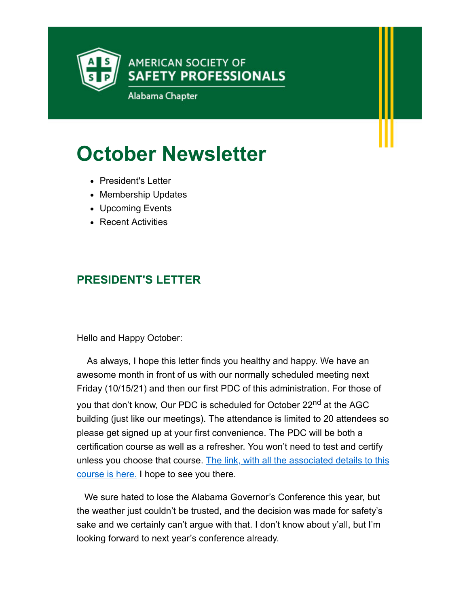

# **October Newsletter**

- President's Letter
- Membership Updates
- Upcoming Events
- Recent Activities

# **PRESIDENT'S LETTER**

Hello and Happy October:

 As always, I hope this letter finds you healthy and happy. We have an awesome month in front of us with our normally scheduled meeting next Friday (10/15/21) and then our first PDC of this administration. For those of you that don't know, Our PDC is scheduled for October 22<sup>nd</sup> at the AGC building (just like our meetings). The attendance is limited to 20 attendees so please get signed up at your first convenience. The PDC will be both a certification course as well as a refresher. You won't need to test and certify [unless you choose that course. The link, with all the associated details to this](http://send.assp.org/link.cfm?r=s61l8w2WThS7ufbxevrfQA~~&pe=PDUY5S7dLt-xCgPJ1G2Dx1VqpieYXF61XB15ZTkRcU_VUB0xmALEBviO8EhV8lmPGNdRa-3v-SSn0FEoKUM4NA~~&t=INSERT_TRACKING_ENCID) course is here. I hope to see you there.

 We sure hated to lose the Alabama Governor's Conference this year, but the weather just couldn't be trusted, and the decision was made for safety's sake and we certainly can't argue with that. I don't know about y'all, but I'm looking forward to next year's conference already.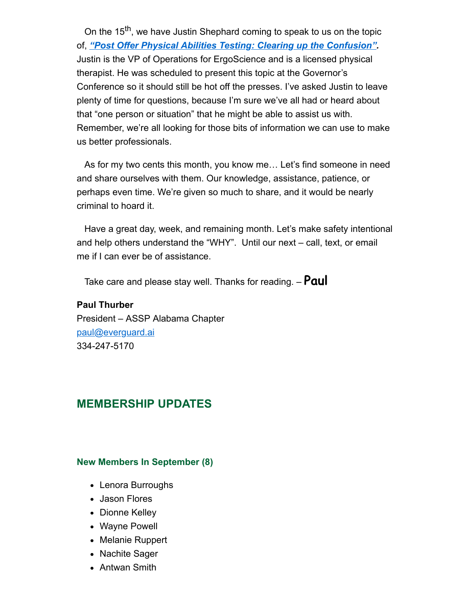On the 15<sup>th</sup>, we have Justin Shephard coming to speak to us on the topic of, *["Post Offer Physical Abilities Testing: Clearing up the Confusion".](http://send.assp.org/link.cfm?r=s61l8w2WThS7ufbxevrfQA~~&pe=C7VZeFB313_YxAdppoAcy-XFAibkniNDCz4RHmbzenXBFVBzVjaILqIBS7D0nd4m6a0z2caH9i5xr8vXzf4DRA~~&t=INSERT_TRACKING_ENCID)* Justin is the VP of Operations for ErgoScience and is a licensed physical therapist. He was scheduled to present this topic at the Governor's Conference so it should still be hot off the presses. I've asked Justin to leave plenty of time for questions, because I'm sure we've all had or heard about that "one person or situation" that he might be able to assist us with. Remember, we're all looking for those bits of information we can use to make us better professionals.

 As for my two cents this month, you know me… Let's find someone in need and share ourselves with them. Our knowledge, assistance, patience, or perhaps even time. We're given so much to share, and it would be nearly criminal to hoard it.

 Have a great day, week, and remaining month. Let's make safety intentional and help others understand the "WHY". Until our next – call, text, or email me if I can ever be of assistance.

Take care and please stay well. Thanks for reading. – **Paul**

**Paul Thurber** President – ASSP Alabama Chapter [paul@everguard.ai](mailto:paul@everguard.ai) 334-247-5170

### **MEMBERSHIP UPDATES**

#### **New Members In September (8)**

- Lenora Burroughs
- Jason Flores
- Dionne Kelley
- Wayne Powell
- Melanie Ruppert
- Nachite Sager
- Antwan Smith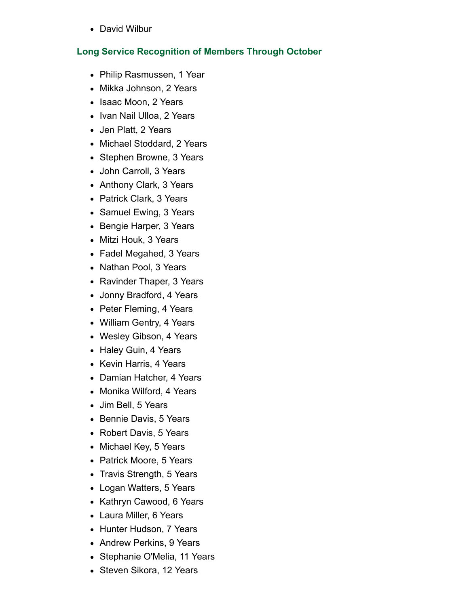• David Wilbur

#### **Long Service Recognition of Members Through October**

- Philip Rasmussen, 1 Year
- Mikka Johnson, 2 Years
- Isaac Moon, 2 Years
- Ivan Nail Ulloa, 2 Years
- Jen Platt, 2 Years
- Michael Stoddard, 2 Years
- Stephen Browne, 3 Years
- John Carroll, 3 Years
- Anthony Clark, 3 Years
- Patrick Clark, 3 Years
- Samuel Ewing, 3 Years
- Bengie Harper, 3 Years
- Mitzi Houk, 3 Years
- Fadel Megahed, 3 Years
- Nathan Pool, 3 Years
- Ravinder Thaper, 3 Years
- Jonny Bradford, 4 Years
- Peter Fleming, 4 Years
- William Gentry, 4 Years
- Wesley Gibson, 4 Years
- Haley Guin, 4 Years
- Kevin Harris, 4 Years
- Damian Hatcher, 4 Years
- Monika Wilford, 4 Years
- Jim Bell, 5 Years
- Bennie Davis, 5 Years
- Robert Davis, 5 Years
- Michael Key, 5 Years
- Patrick Moore, 5 Years
- Travis Strength, 5 Years
- Logan Watters, 5 Years
- Kathryn Cawood, 6 Years
- Laura Miller, 6 Years
- Hunter Hudson, 7 Years
- Andrew Perkins, 9 Years
- Stephanie O'Melia, 11 Years
- Steven Sikora, 12 Years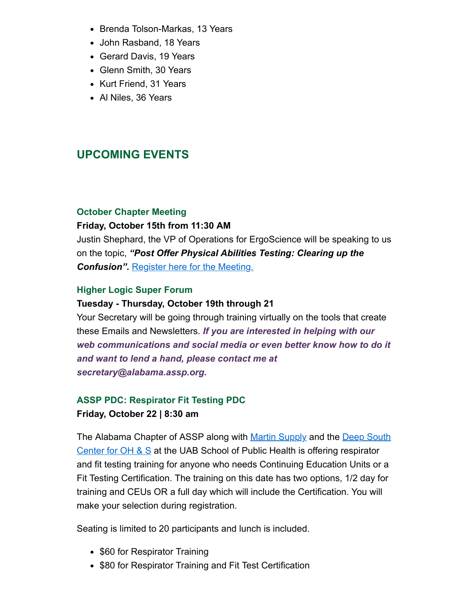- Brenda Tolson-Markas, 13 Years
- John Rasband, 18 Years
- Gerard Davis, 19 Years
- Glenn Smith, 30 Years
- Kurt Friend, 31 Years
- Al Niles, 36 Years

# **UPCOMING EVENTS**

#### **October Chapter Meeting**

#### **Friday, October 15th from 11:30 AM**

Justin Shephard, the VP of Operations for ErgoScience will be speaking to us on the topic, *"Post Offer Physical Abilities Testing: Clearing up the* **Confusion".** [Register here for the Meeting.](http://send.assp.org/link.cfm?r=s61l8w2WThS7ufbxevrfQA~~&pe=ZtZmnSEFK2eyj7kOUDD5wdMIGuS4g2r0_Rx2J3rTM1_9Rda54EPb7CxgKH1hn51UTUtibmk4BzBqKOOIYMNnKg~~&t=INSERT_TRACKING_ENCID)

#### **Higher Logic Super Forum**

#### **Tuesday - Thursday, October 19th through 21**

Your Secretary will be going through training virtually on the tools that create these Emails and Newsletters. *If you are interested in helping with our web communications and social media or even better know how to do it and want to lend a hand, please contact me at secretary@alabama.assp.org.*

## **ASSP PDC: Respirator Fit Testing PDC Friday, October 22 | 8:30 am**

[The Alabama Chapter of ASSP along with Martin Supply](http://send.assp.org/link.cfm?r=s61l8w2WThS7ufbxevrfQA~~&pe=3xsWI5jgCq9Bd1vEZy4i6KuOaSpo2X-HA_g-OoTO6hDG4IfBpw3eZHjl5iEkPOTHbc0sWMUalVV3DF94N2JwXQ~~&t=INSERT_TRACKING_ENCID) and the Deep South Center for OH  $\&$  S at the UAB School of Public Health is offering respirator and fit testing training for anyone who needs Continuing Education Units or a Fit Testing Certification. The training on this date has two options, 1/2 day for training and CEUs OR a full day which will include the Certification. You will make your selection during registration.

Seating is limited to 20 participants and lunch is included.

- \$60 for Respirator Training
- \$80 for Respirator Training and Fit Test Certification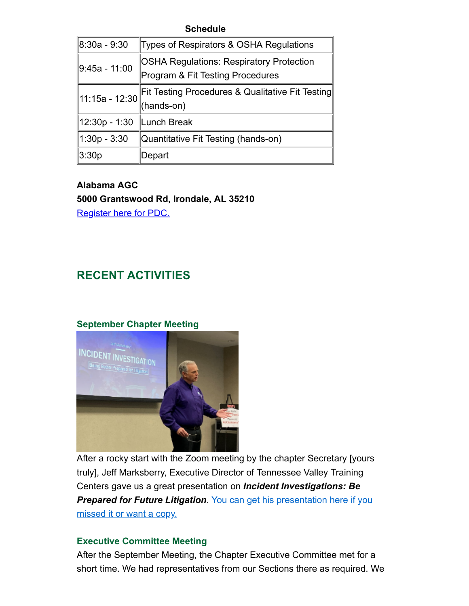#### **Schedule**

| Types of Respirators & OSHA Regulations           |
|---------------------------------------------------|
| OSHA Regulations: Respiratory Protection          |
| Program & Fit Testing Procedures                  |
| ∥Fit Testing Procedures & Qualitative Fit Testing |
| (hands-on)                                        |
| ∥Lunch Break                                      |
| Quantitative Fit Testing (hands-on)               |
| Depart                                            |
| ∥11:15a - 12:30∣                                  |

**Alabama AGC 5000 Grantswood Rd, Irondale, AL 35210** [Register here for PDC.](http://send.assp.org/link.cfm?r=s61l8w2WThS7ufbxevrfQA~~&pe=0VNwwlocpdMYU0Hm_ppEqHDuSa-XIv7RU40XMqa7pZt84k8cohF6iLhfMDHCo1JTZedd7UQYN1RQrY4dXRIuKg~~&t=INSERT_TRACKING_ENCID)

## **RECENT ACTIVITIES**

#### **September Chapter Meeting**



After a rocky start with the Zoom meeting by the chapter Secretary [yours truly], Jeff Marksberry, Executive Director of Tennessee Valley Training Centers gave us a great presentation on *Incident Investigations: Be* **[Prepared for Future Litigation](http://send.assp.org/link.cfm?r=s61l8w2WThS7ufbxevrfQA~~&pe=4LxDFMNDyrlz3PYtSoCWc7n1y83XTPacYByZilksNFFkNGawHVMpGujJl6OAUfAGEjXYvx25Gv6FpFGc5xOUkg~~&t=INSERT_TRACKING_ENCID)**. You can get his presentation here if you missed it or want a copy.

#### **Executive Committee Meeting**

After the September Meeting, the Chapter Executive Committee met for a short time. We had representatives from our Sections there as required. We